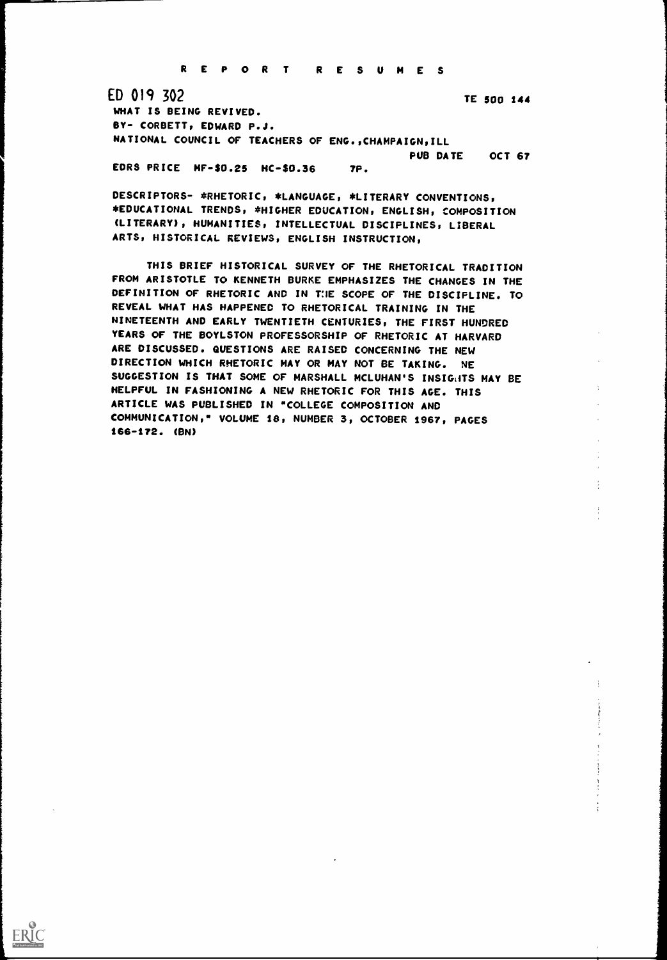REPORT RESUMES

ED 019 302 WHAT IS BEING REVIVED. BY- CORBETT, EDWARD P.J. NATIONAL COUNCIL OF TEACHERS OF ENG.,CHAMPAIGN,ILL PUB DATE TE 500 144 OCT 67

FORS PRICE MF-\$0.25 HC-\$O.36 7P.

DESCRIPTORS- \*RHETORIC, \*LANGUAGE, \*LITERARY CONVENTIONS, \*EDUCATIONAL TRENDS, \*HIGHER EDUCATION, ENGLISH, COMPOSITION (LITERARY), HUMANITIES, INTELLECTUAL DISCIPLINES, LIBERAL ARTS, HISTORICAL REVIEWS, ENGLISH INSTRUCTION,

THIS BRIEF HISTORICAL SURVEY OF THE RHETORICAL TRADITION FROM ARISTOTLE TO KENNETH BURKE EMPHASIZES THE CHANGES IN THE DEFINITION OF RHETORIC AND IN THE SCOPE OF THE DISCIPLINE. TO REVEAL WHAT HAS HAPPENED TO RHETORICAL TRAINING IN THE NINETEENTH AND EARLY TWENTIETH CENTURIES, THE FIRST HUNDRED YEARS OF THE BOYLSTON PROFESSORSHIP OF RHETORIC AT HARVARD ARE DISCUSSED. QUESTIONS ARE RAISED CONCERNING THE NEW DIRECTION WHICH RHETORIC MAY OR MAY NOT BE TAKING. NE SUGGESTION IS THAT SOME OF MARSHALL MCLUHAN'S INSIGHTS MAY BE HELPFUL IN FASHIONING A NEW RHETORIC FOR THIS AGE. THIS ARTICLE WAS PUBLISHED IN "COLLEGE COMPOSITION AND COMMUNICATION," VOLUME 18, NUMBER 3, OCTOBER 1967, PAGES 166 -172. (BN)

 $ERIC$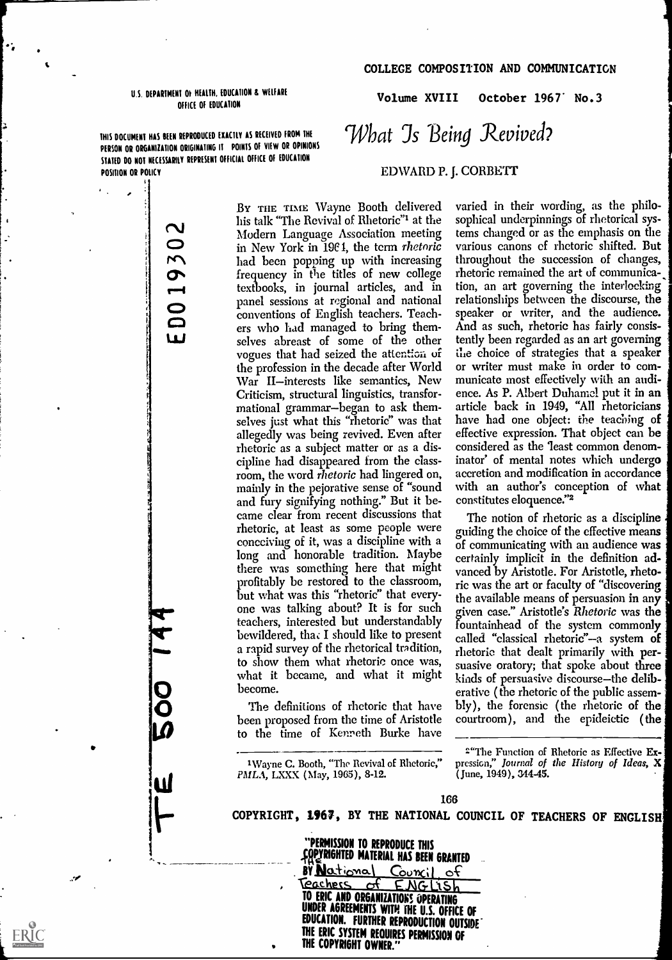## U.S. DEPARTMENT Ot HEALTH, EDUCATION & WELFARE OFFICE OF EDUCATION

 $\boldsymbol{\sigma}$ 

w

 $\mathbf{u}$ 

ERIC

COLLEGE COMPOSITION AND COMMUNICATION

Volume XVIII October 1967' No.3

What Is Being Revived?

## EDWARD P. J. CORBETT

BY THE TIME Wayne Booth delivered his talk "The Revival of Rhetoric"' at the Modern Language Association meeting in New York in 19C I, the term rhetoric had been popping up with increasing frequency in the titles of new college textbooks, in journal articles, and in panel sessions at regional and national conventions of English teachers. Teachers who had managed to bring themselves abreast of some of the other vogues that had seized the attention of the profession in the decade after World War II-interests like semantics, New Criticism, structural linguistics, transformational grammar-began to ask themselves just what this "rhetoric" was that allegedly was being revived. Even after rhetoric as a subject matter or as a discipline had disappeared from the classroom, the word rhetoric had lingered on, mainly in the pejorative sense of "sound and fury signifying nothing." But it became clear from recent discussions that rhetoric, at least as some people were conceiving of it, was a discipline with a long and honorable tradition. Maybe there was something here that might profitably be restored to the classroom, but what was this "rhetoric" that everyone was talking about? It is for such teachers, interested but understandably bewildered, that I should like to present a rapid survey of the rhetorical tradition, to show them what rhetoric once was, what it became, and what it might become.

The definitions of rhetoric that have been proposed from the time of Aristotle to the time of Kenreth Burke have

'Wayne C. Booth, "The Revival of Rhetoric," PMLA, LXXX (May, 1965), 8-12.

THE COPYRIGHT OWNER."

varied in their wording, as the philosophical underpinnings of rhetorical systems changed or as the emphasis on the various canons of rhetoric shifted. But throughout the succession of changes, rhetoric remained the art of communication, an art governing the interlocking relationships between the discourse, the speaker or writer, and the audience. And as such, rhetoric has fairly consistently been regarded as an art governing the choice of strategies that a speaker or writer must make in order to communicate most effectively with an audience. As P. Albert Duhamel put it in an article back in 1949, "All rhetoricians have had one object: the teaching of effective expression. That object can be considered as the 'least common denominator' of mental notes which undergo accretion and modification in accordance with an author's conception of what constitutes eloquence."2

The notion of rhetoric as a discipline guiding the choice of the effective means of communicating with an audience was certainly implicit in the definition advanced by Aristotle. For Aristotle, rhetoric was the art or faculty of "discovering the available means of persuasion in any given case." Aristotle's Rhetoric was the fountainhead of the system commonly called "classical rhetoric" $-a$  system of rhetoric that dealt primarily with persuasive oratory; that spoke about three kinds of persuasive discourse-the deliberative ( the rhetoric of the public assembly), the forensic ( the rhetoric of the courtroom), and the epideictic (the

2"The Function of Rhetoric as Effective Expressicn," Journal of the History of Ideas, X ( June, 1949), 344-45.

166

COPYRIGHT, 1967, BY THE NATIONAL COUNCIL OF TEACHERS OF ENGLISH

"PERMISSION TO REPRODUCE THIS at/RIGHTED MATERIAL HAS BEEN GRANTED BY National Council of TO ERIC AND ORGANIZATIONS OPERATING UNDER AGREEMENTS WITH THE U.S. OFFICE OF EDUCATION. FURTHER REPRODUCTION OUTSIDE THE ERIC SYSTEM REOUIRES PERMISSION OF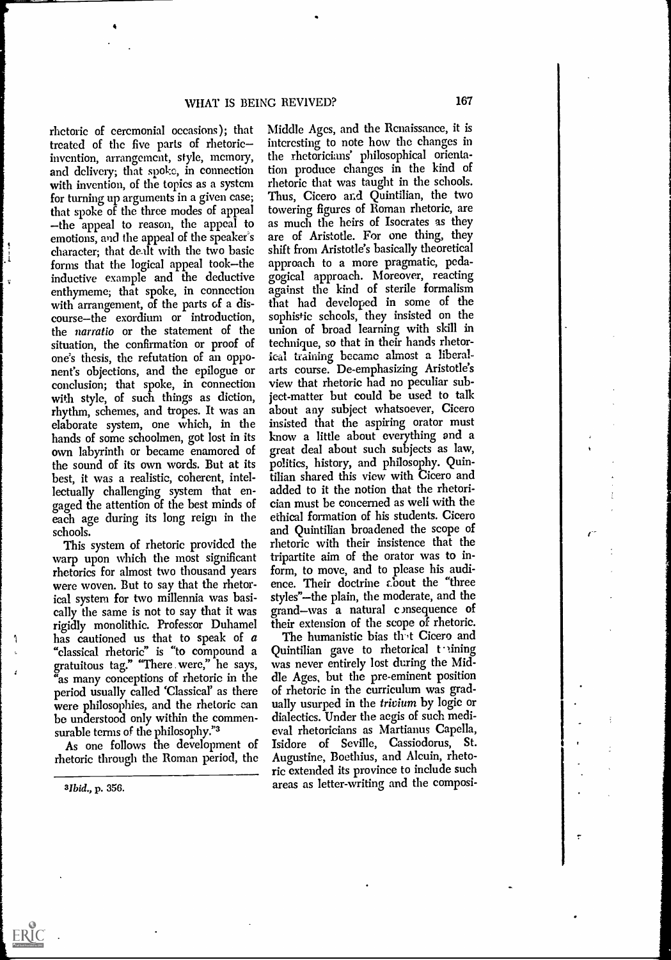rhetoric of ceremonial occasions); that treated of the five parts of rhetoric invention, arrangement, style, memory, and delivery; that spoke, in connection with invention, of the topics as a system for turning up arguments in a given case; that spoke of the three modes of appeal -the appeal to reason, the appeal to emotions, and the appeal of the speaker's character; that dealt with the two basic forms that the logical appeal took-the inductive example and the deductive enthymeme; that spoke, in connection with arrangement, of the parts of a discourse-the exordium or introduction, the *narratio* or the statement of the situation, the confirmation or proof of one's thesis, the refutation of an opponent's objections, and the epilogue or conclusion; that spoke, in connection with style, of such things as diction, rhythm, schemes, and tropes. It was an elaborate system, one which, in the hands of some schoolmen, got lost in its own labyrinth or became enamored of the sound of its own words. But at its best, it was a realistic, coherent, intellectually challenging system that engaged the attention of the best minds of each age during its long reign in the schools.

This system of rhetoric provided the warp upon which the most significant rhetorics for almost two thousand years were woven. But to say that the rhetorical system for two millennia was basically the same is not to say that it was rigidly monolithic. Professor Duhamel has cautioned us that to speak of  $\boldsymbol{a}$ "classical rhetoric" is "to compound a gratuitous tag." "There were," he says, "as many conceptions of rhetoric in the period usually called 'Classical' as there were philosophies, and the rhetoric can be understood only within the commensurable terms of the philosophy."3

As one follows the development of rhetoric through the Roman period, the

3Ibid., p. 356.

Middle Agcs, and the Renaissance, it is interesting to note how the changes in the rhetoricians' philosophical orientation produce changes in the kind of rhetoric that was taught in the schools. Thus, Cicero and Quintilian, the two towering figures of Roman rhetoric, are as much the heirs of Isocrates as they are of Aristotle. For one thing, they shift from Aristotle's basically theoretical approach to a more pragmatic, pedagogical approach. Moreover, reacting against the kind of sterile formalism that had developed in some of the sophistic schools, they insisted on the union of broad learning with skill in technique, so that in their hands rhetorical training became almost a liberalarts course. De-emphasizing Aristotle's view that rhetoric had no peculiar subject-matter but could be used to talk about any subject whatsoever, Cicero insisted that the aspiring orator must know a little about everything and a great deal about such subjects as law, politics, history, and philosophy. Quintilian shared this view with Cicero and added to it the notion that the rhetorician must be concerned as weli with the ethical formation of his students. Cicero and Quintilian broadened the scope of rhetoric with their insistence that the tripartite aim of the orator was to inform, to move, and to please his audience. Their doctrine about the "three styles"-the plain, the moderate, and the grand-was a natural consequence of their extension of the scope of rhetoric.

The humanistic bias that Cicero and Quintilian gave to rhetorical taining was never entirely lost during the Middle Ages, but the pre-eminent position of rhetoric in the curriculum was gradually usurped in the trivium by logic or dialectics. Under the aegis of such medieval rhetoricians as Martianus Capella, Isidore of Seville, Cassiodorus, St. Augustine, Boethius, and Alcuin, rhetoric extended its province to include such areas as letter-writing and the composi-

 $\mathbf{r}$ 

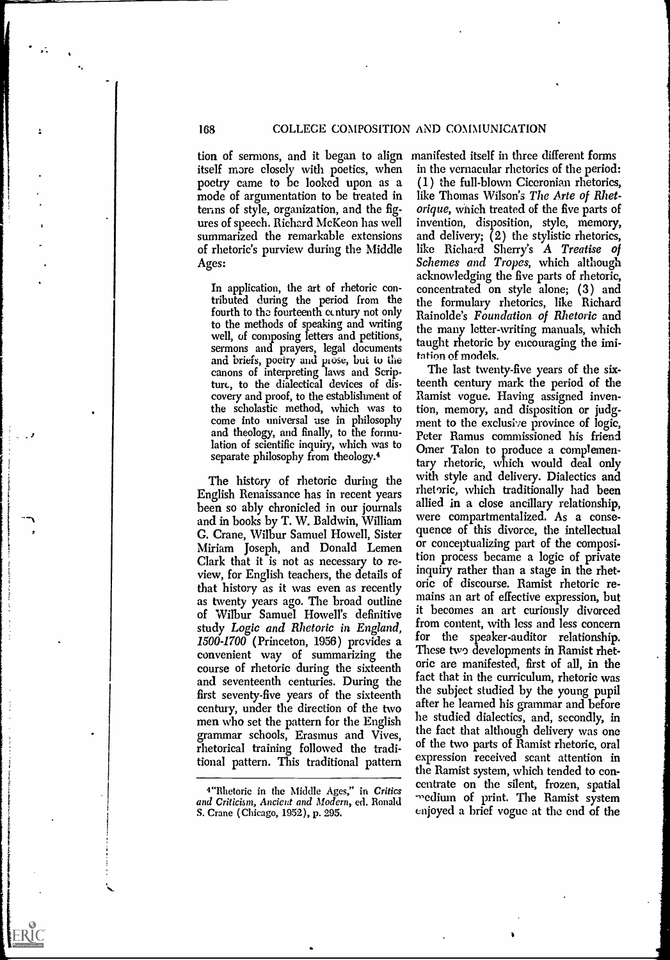## 168 COLLEGE COMPOSITION AND COMMUNICATION

tion of sermons, and it began to align manifested itself in three different forms itself more closely with poetics, when poetry came to be looked upon as a mode of argumentation to be treated in terms of style, organization, and the figures of speech. Richard McKeon has well summarized the remarkable extensions of rhetoric's purview during the Middle Ages:

In application, the art of rhetoric contributed during the period from the fourth to the fourteenth century not only to the methods of speaking and writing well, of composing letters and petitions, sermons and prayers, legal documents and briefs, poetry and pose, but to the canons of interpreting laws and Scripture, to the dialectical devices of discovery and proof, to the establishment of the scholastic method, which was to come into universal use in philosophy and theology, and finally, to the formulation of scientific inquiry, which was to separate philosophy from theology.4

The history of rhetoric during the English Renaissance has in recent years been so ably chronicled in our journals and in books by T. W. Baldwin, William C. Crane, Wilbur Samuel Howell, Sister Miriam Joseph, and Donald Lemen Clark that it is not as necessary to review, for English teachers, the details of that history as it was even as recently as twenty years ago. The broad outline of Wilbur Samuel Howell's definitive study Logic and Rhetoric in England, 1500-1700 (Princeton, 1956) provides a convenient way of summarizing the course of rhetoric during the sixteenth and seventeenth centuries. During the first seventy-five years of the sixteenth century, under the direction of the two men who set the pattern for the English grammar schools, Erasmus and Vives, rhetorical training followed the traditional pattern. This traditional pattern

ERIC

in the vernacular rhetorics of the period: (1) the full-blown Ciceronian rhetorics, like Thomas Wilson's The Arte of Rhetorique, which treated of the five parts of invention, disposition, style, memory, and delivery; (2) the stylistic rhetorics, like Richard Sherry's A Treatise of Schemes and Tropes, which although acknowledging the five parts of rhetoric, concentrated on style alone; (3) and the formulary rhetorics, like Richard Rainolde's Foundation of Rhetoric and the many letter-writing manuals, which taught rhetoric by encouraging the imitation of models.

The last twenty-five years of the sixteenth century mark the period of the Ramist vogue. Having assigned invention, memory, and disposition or judgment to the exclusive province of logic, Peter Ramus commissioned his friend Omer Talon to produce a complementary rhetoric, which would deal only with style and delivery. Dialectics and rhetoric, which traditionally had been allied in a close ancillary relationship, were compartmentalized. As a consequence of this divorce, the intellectual or conceptualizing part of the composition process became a logic of private inquiry rather than a stage in the rhetoric of discourse. Ramist rhetoric remains an art of effective expression, but it becomes an art curiously divorced from content, with less and less concern for the speaker-auditor relationship. These two developments in Ramist rhetoric are manifested, first of all, in the fact that in the curriculum, rhetoric was the subject studied by the young pupil after he learned his grammar and before he studied dialectics, and, secondly, in the fact that although delivery was one of the two parts of Ramist rhetoric, oral expression received scant attention in the Ramist system, which tended to concentrate on the silent, frozen, spatial medium of print. The Ramist system enjoyed a brief vogue at the end of the

<sup>4 &</sup>quot;Rhetoric in the Middle Ages," in Critics and Criticism, Ancient and Modern, ed. Ronald , 1952), p. 295.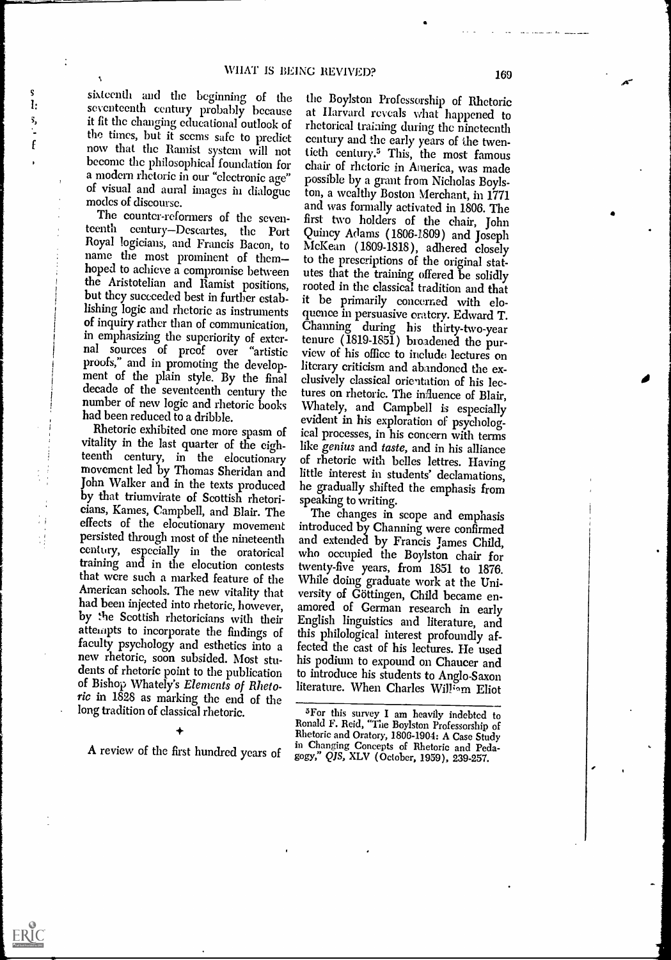sixteenth and the beginning of the seventeenth century probably because it fit the changing educational outlook of the times, but it seems safe to predict now that the Ramist system will not become the philosophical foundation for a modern rhetoric in our "electronic age" of visual and aural images in dialogue modes of discourse.

1: 3,

> $\ddot{\phantom{a}}$  $\mathbf{f}$

ERIC

 $\mathbf S$ 

 $\mathbf{A}$ 

The counter-reformers of the seventeenth century-Descartes, the Port<br>Royal logicians, and Francis Bacon, to name the most prominent of themhoped to achieve a compromise between the Aristotelian and Ramist positions, but they succeeded best in further establishing logic and rhetoric as instruments of inquiry rather than of communication, in emphasizing the superiority of external sources of proof over "artistic proofs," and in promoting the development of the plain style. By the final decade of the sevent century the number of new logic and rhetoric books had been reduced to a dribble.<br>Rhetoric exhibited one more spasm of

vitality in the last quarter of the eigh-<br>teenth century, in the elocutionary movement led by Thomas Sheridan and<br>John Walker and in the texts produced by that triumvirate of Scottish rhetoricians, Karnes, Campbell, and Blair. The effects of the elocutionary movement persisted through most of the nineteenth century, especially in the oratorical training and in the elocution contests that were such a marked feature of the American schools. The new vitality that versity of Göttingen, Child became enhad been injected into rhetoric, however, amored of German research in early had been injected into rhetoric, however, by the Scottish rhetoricians with their attempts to incorporate the findings of faculty psychology and esthetics into a new rhetoric, soon subsided. Most students of rhetoric point to the publication of Bishop Whately's Elements of Rhetoric in 1828 as marking the end of the  $\frac{1}{2}$  or this survey I am heavily indebted to long tradition of classical rhetoric.

A review of the first hundred years of

the Boylston Professorship of Rhetoric at Harvard reveals what happened to rhetorical training during the nineteenth century and the early years of the twentieth century.5 This, the most famous chair of rhetoric in America, was made possible by a grant from Nicholas Boylston, a wealthy Boston Merchant, in 1771 and was formally activated in 1806. The first two holders of the chair, John Quincy Adams (1806-1809) and Joseph McKean ( 1809-1818), adhered closely to the prescriptions of the original statutes that the training offered be solidly rooted in the classical tradition and that it be primarily concerned with eloquence in persuasive oratory. Edward T. Channing during his thirty-two-year tenure (1819-1851) broadened the purview of his office to include lectures on literary criticism and abandoned the exclusively classical orientation of his lectures on rhetoric. The influence of Blair, Whately, and Campbell is especially evident in his exploration of psychological processes, in his concern with terms like genius and taste, and in his alliance of rhetoric with belles lettres. Having little interest in students' declamations, he gradually shifted the emphasis from speaking to writing.

The changes in scope and emphasis introduced by Charming were confirmed and extended by Francis James Child, who occupied the Boylston chair for twenty-five years, from 1851 to 1876. While doing graduate work at the University of Göttingen, Child became en-English linguistics and literature, and this philological interest profoundly affected the cast of his lectures. He used his podium to expound on Chaucer and to introduce his students to Anglo-Saxon literature. When Charles William Eliot

Ronald F. Reid, "The Boylston Professorship of Rhetoric and Oratory, 1806-1904: A Case Study in Changing Concepts of Rhetoric and Pedagogy," (VS, XLV (October, 1959), 239-257.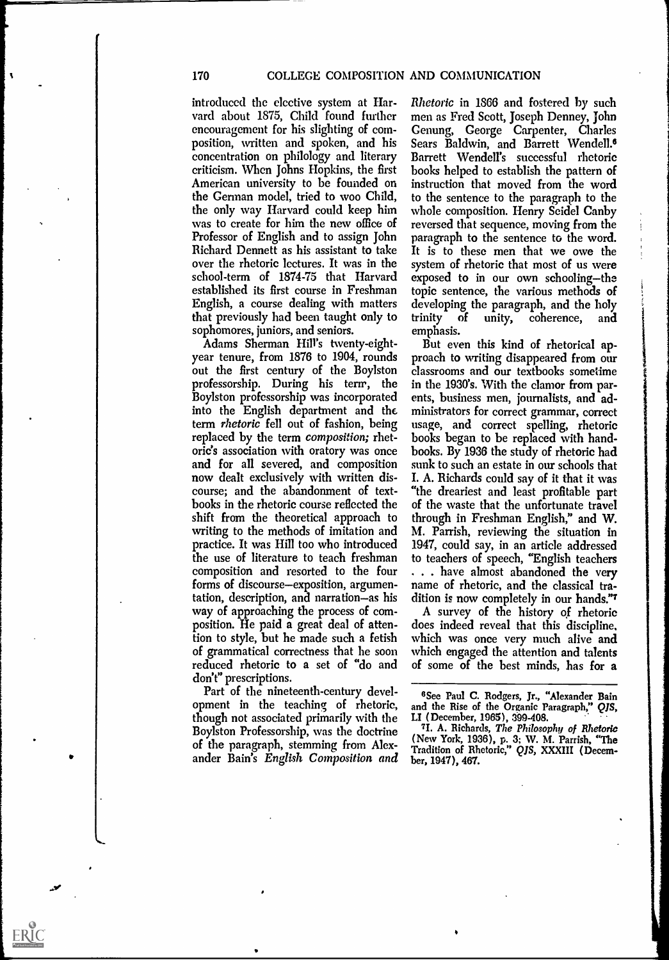introduced the elective system at Harvard about 1875, Child found further encouragement for his slighting of composition, written and spoken, and his concentration on philology and literary criticism. When Johns Hopkins, the first American university to be founded on the German model, tried to woo Child, the only way Harvard could keep him was to create for him the new office of Professor of English and to assign John Richard Dennett as his assistant to take over the rhetoric lectures. It was in the school-term of 1874-75 that Harvard established its first course in Freshman English, a course dealing with matters that previously had been taught only to sophomores, juniors, and seniors.

Adams Sherman Hill's twenty-eightyear tenure, from 1876 to 1904, rounds out the first century of the Boylston professorship. During his term, the Boylston professorship was incorporated into the English department and the term rhetoric fell out of fashion, being replaced by the term *composition*; rhetoric's association with oratory was once and for all severed, and composition now dealt exclusively with written discourse; and the abandonment of textbooks in the rhetoric course reflected the shift from the theoretical approach to writing to the methods of imitation and practice. It was Hill too who introduced the use of literature to teach freshman composition and resorted to the four forms of discourse-exposition, argumentation, description, and narration—as his way of approaching the process of composition. He paid a great deal of attention to style, but he made such a fetish of grammatical correctness that he soon reduced rhetoric to a set of "do and don't" prescriptions.

Part of the nineteenth-century development in the teaching of rhetoric, though not associated primarily with the Boylston Professorship, was the doctrine of the paragraph, stemming from Alexander Bain's English Composition and

 $ERIC$ 

Rhetoric in 1866 and fostered by such men as Fred Scott, Joseph Denney, John Cenung, George Carpenter, Charles Sears Baldwin, and Barrett Wendell.<sup>6</sup> Barrett Wendell's successful rhetoric books helped to establish the pattern of instruction that moved from the word to the sentence to the paragraph to the whole composition. Henry Seidel Canby reversed that sequence, moving from the paragraph to the sentence to the word. It is to these men that we owe the system of rhetoric that most of us were exposed to in our own schooling-the topic sentence, the various methods of developing the paragraph, and the holy unity, coherence, and emphasis.

But even this kind of rhetorical approach to writing disappeared from our classrooms and our textbooks sometime in the 1930's. With the clamor from parents, business men, journalists, and administrators for correct grammar, correct usage, and correct spelling, rhetoric books began to be replaced with handbooks. By 1936 the study of rhetoric had sunk to such an estate in our schools that I. A. Richards could say of it that it was "the dreariest and least profitable part of the waste that the unfortunate travel through in Freshman English," and W. M. Parrish, reviewing the situation in 1947, could say, in an article addressed to teachers of speech, "English teachers . . . have almost abandoned the very name of rhetoric, and the classical tradition is now completely in our hands."7

A survey of the history of rhetoric does indeed reveal that this discipline, which was once very much alive and which engaged the attention and talents of some of the best minds, has for a

<sup>&</sup>lt;sup>6</sup>See Paul C. Rodgers, Jr., "Alexander Bain and the Rise of the Organic Paragraph," QJS, LI (December, 1965), 399-408.

<sup>7</sup>I. A. Richards, The Philosophy of Rhetoric (New York, 1936), p. 3; W. M. Parrish, "The Tradition of Rhetoric," QJS, XXXIII (December, 1947), 467.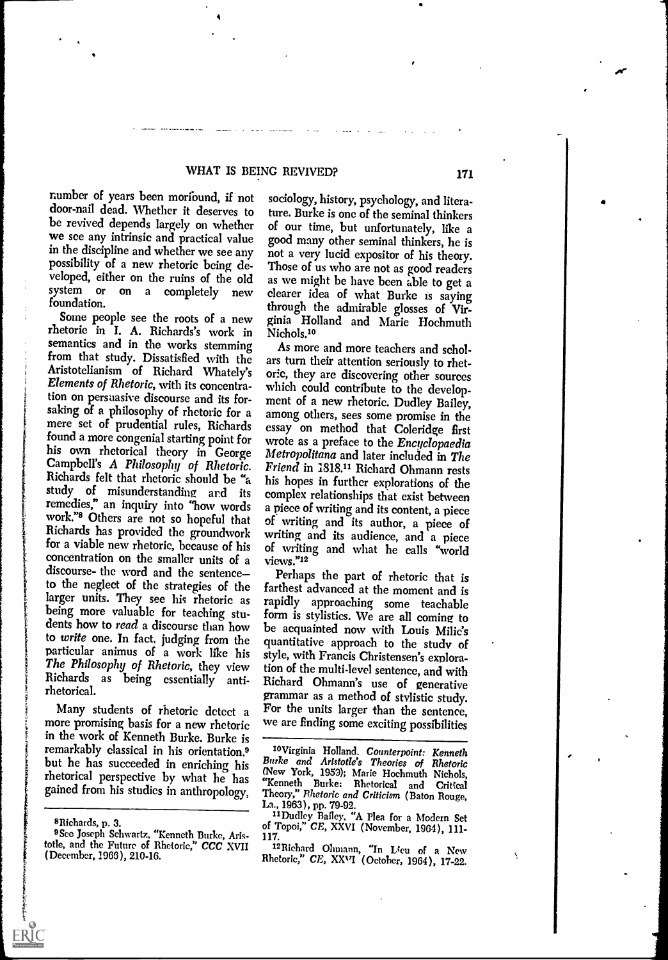number of years been moribund, if not door-nail dead. Whether it deserves to be revived depends largely on whether we see any intrinsic and practical value<br>in the discipline and whether we see any possibility of a new rhetoric being developed, either on the ruins of the old system or on a completely new foundation.

Some people see the roots of a new rhetoric in I. A. Richards's work in semantics and in the works stemming from that study. Dissatisfied with the Aristotelianism of Richard Whately's Elements of Rhetoric, with its concentration on persuasive discourse and its forsaking of a philosophy of rhetoric for a mere set of prudential rules, Richards<br>found a more congenial starting point for his own rhetorical theory in George Campbell's A Philosophy of Rhetoric. Richards felt that rhetoric should be "a study of misunderstanding and its complex-relationships that exist between remedies," an inquiry into "how words a piece of writing and its content, a piece remedies," an inquiry into "how words work."8 Others are not so hopeful that Richards has provided the groundwork writing and its audience, and a piece for a viable new rhetoric, because of his of writing and what he calls "world for a viable new rhetoric, because of his concentration on the smaller units of a discourse- the word and the sentence to the neglect of the strategies of the larger units. They see his rhetoric as being more valuable for teaching stu- form is stylistics. We are all coming to dents how to read a discourse than how to write one. In fact, judging from the particular animus of a work like his The Philosophy of Rhetoric, they view Richards as being essentially antirhetorical.

Many students of rhetoric detect a more promising basis for a new rhetoric in the work of Kenneth Burke. Burke is <br>remarkably classical in his orientation.<sup>9</sup> <sup>10</sup>Virginia Holland. Counterpoint: Kenneth remarkably classical in his orientation,8 but he has succeeded in enriching his rhetorical perspective by what he has gained from his studies in anthropology,

sociology, history, psychology, and literature. Burke is one of the seminal thinkers of our time, but unfortunately, like a good many other seminal thinkers, he is not a very lucid expositor of his theory. Those of us who are not as good readers as we might be have been able to get a clearer idea of what Burke is saying through the admirable glosses of Virginia Holland and Marie Hochmuth Nichols.<sup>10</sup>

As more and more teachers and scholars turn their attention seriously to rhetor:c, they are discovering other sources which could contribute to the development of a new rhetoric. Dudley Bailey, among others, sees some promise in the essay on method that Coleridge first wrote as a preface to the Encyclopaedia Metropolitana and later included in The Friend in 1818.11 Richard Ohmann rests his hopes in further explorations of the complex relationships that exist between of writing and its author, a piece of views."12

Perhaps the part of rhetoric that is farthest advanced at the moment and is rapidly approaching some teachable be acquainted now with Louis Milic's quantitative approach to the study of style, with Francis Christensen's exploration of the multi-level sentence, and with Richard Ohmann's use of generative grammar as a method of stylistic study. For the units larger than the sentence, we are finding some exciting possibilities

<sup>12</sup>Richard Ohmann, "In Lieu of a New<br>Rhetoric," CE, XXVI (October, 1964), 17-22.

Ar

<sup>8</sup>Richards, p. 3.

<sup>°</sup>See Joseph Schwartz, "Kenneth Burke, Aristotle, and the Future of Rhetoric," CCC XVII 12Ri (December, 1966), 210-16.

Burke and Aristotle's Theories of Rhetoric (New York, 1959); Marie Hochmuth Nichols, "Kenneth Burke: Rhetorical and Critical Theory," Rhetoric and Criticism (Baton Rouge, La., 1963), pp. 79-92. <sup>10</sup>Virginia Holland, *Counterpoint: Kenneth*<br> *Burke and Aristotle's Theories of Rhetoric*<br>
(New York, 1953); Marie Hochmuth Nichols,<br>
"Kenneth Burke: Rhetorical and Critical<br>
Theory," *Rhetoric and Criticism* (Baton Rou

<sup>1</sup>lDudley Bailey, "A Plea for a Modern Set of Topoi," CE, XXVI (November, 1964), 111- 117.